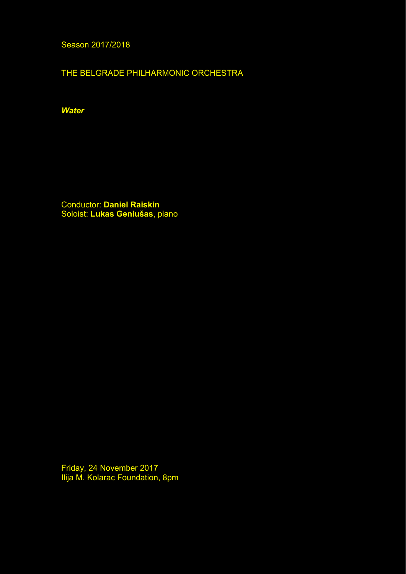Season 2017/2018

THE BELGRADE PHILHARMONIC ORCHESTRA

*Water* 

Conductor: **Daniel Raiskin** Soloist: **Lukas Geniušas**, piano

Friday, 24 November 2017 Ilija M. Kolarac Foundation, 8pm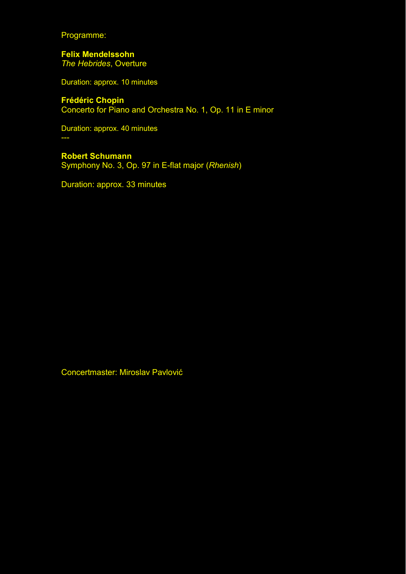Programme:

**Felix Mendelssohn**  *The Hebrides*, Overture

Duration: approx. 10 minutes

## **Frédéric Chopin**

Concerto for Piano and Orchestra No. 1, Op. 11 in E minor

Duration: approx. 40 minutes

**Robert Schumann** 

---

Symphony No. 3, Op. 97 in E-flat major (*Rhenish*)

Duration: approx. 33 minutes

Concertmaster: Miroslav Pavlović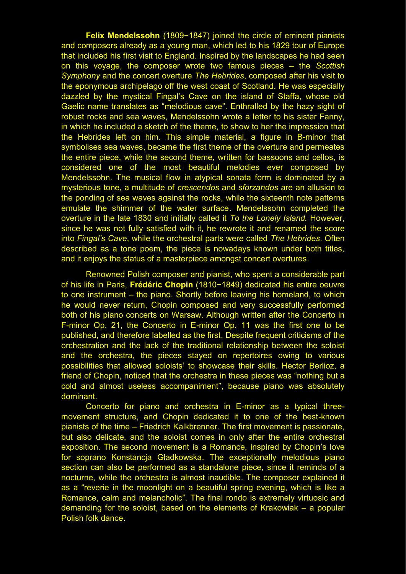**Felix Mendelssohn** (1809−1847) joined the circle of eminent pianists and composers already as a young man, which led to his 1829 tour of Europe that included his first visit to England. Inspired by the landscapes he had seen on this voyage, the composer wrote two famous pieces – the *Scottish Symphony* and the concert overture *The Hebrides*, composed after his visit to the eponymous archipelago off the west coast of Scotland. He was especially dazzled by the mystical Fingal's Cave on the island of Staffa, whose old Gaelic name translates as "melodious cave". Enthralled by the hazy sight of robust rocks and sea waves, Mendelssohn wrote a letter to his sister Fanny, in which he included a sketch of the theme, to show to her the impression that the Hebrides left on him. This simple material, a figure in B-minor that symbolises sea waves, became the first theme of the overture and permeates the entire piece, while the second theme, written for bassoons and cellos, is considered one of the most beautiful melodies ever composed by Mendelssohn. The musical flow in atypical sonata form is dominated by a mysterious tone, a multitude of *crescendos* and *sforzandos* are an allusion to the ponding of sea waves against the rocks, while the sixteenth note patterns emulate the shimmer of the water surface. Mendelssohn completed the overture in the late 1830 and initially called it *To the Lonely Island.* However, since he was not fully satisfied with it, he rewrote it and renamed the score into *Fingal's Cave*, while the orchestral parts were called *The Hebrides*. Often described as a tone poem, the piece is nowadays known under both titles, and it enjoys the status of a masterpiece amongst concert overtures.

Renowned Polish composer and pianist, who spent a considerable part of his life in Paris, **Frédéric Chopin** (1810−1849) dedicated his entire oeuvre to one instrument – the piano. Shortly before leaving his homeland, to which he would never return, Chopin composed and very successfully performed both of his piano concerts on Warsaw. Although written after the Concerto in F-minor Op. 21, the Concerto in E-minor Op. 11 was the first one to be published, and therefore labelled as the first. Despite frequent criticisms of the orchestration and the lack of the traditional relationship between the soloist and the orchestra, the pieces stayed on repertoires owing to various possibilities that allowed soloists' to showcase their skills. Hector Berlioz, a friend of Chopin, noticed that the orchestra in these pieces was "nothing but a cold and almost useless accompaniment", because piano was absolutely dominant.

Concerto for piano and orchestra in E-minor as a typical threemovement structure, and Chopin dedicated it to one of the best-known pianists of the time – Friedrich Kalkbrenner. The first movement is passionate, but also delicate, and the soloist comes in only after the entire orchestral exposition. The second movement is a Romance, inspired by Chopin's love for soprano Konstancja Gładkowska. The exceptionally melodious piano section can also be performed as a standalone piece, since it reminds of a nocturne, while the orchestra is almost inaudible. The composer explained it as a "reverie in the moonlight on a beautiful spring evening, which is like a Romance, calm and melancholic". The final rondo is extremely virtuosic and demanding for the soloist, based on the elements of Krakowiak – a popular Polish folk dance.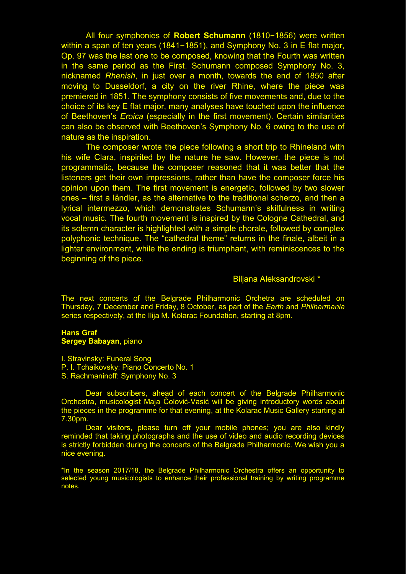All four symphonies of **Robert Schumann** (1810−1856) were written within a span of ten years (1841−1851), and Symphony No. 3 in E flat major, Op. 97 was the last one to be composed, knowing that the Fourth was written in the same period as the First. Schumann composed Symphony No. 3, nicknamed *Rhenish*, in just over a month, towards the end of 1850 after moving to Dusseldorf, a city on the river Rhine, where the piece was premiered in 1851. The symphony consists of five movements and, due to the choice of its key E flat major, many analyses have touched upon the influence of Beethoven's *Eroica* (especially in the first movement). Certain similarities can also be observed with Beethoven's Symphony No. 6 owing to the use of nature as the inspiration.

The composer wrote the piece following a short trip to Rhineland with his wife Clara, inspirited by the nature he saw. However, the piece is not programmatic, because the composer reasoned that it was better that the listeners get their own impressions, rather than have the composer force his opinion upon them. The first movement is energetic, followed by two slower ones – first a ländler, as the alternative to the traditional scherzo, and then a lyrical intermezzo, which demonstrates Schumann's skilfulness in writing vocal music. The fourth movement is inspired by the Cologne Cathedral, and its solemn character is highlighted with a simple chorale, followed by complex polyphonic technique. The "cathedral theme" returns in the finale, albeit in a lighter environment, while the ending is triumphant, with reminiscences to the beginning of the piece.

## Biljana Aleksandrovski \*

The next concerts of the Belgrade Philharmonic Orchetra are scheduled on Thursday, 7 December and Friday, 8 October, as part of the *Earth* and *Philharmania* series respectively, at the Ilija M. Kolarac Foundation, starting at 8pm.

## **Hans Graf**

## **Sergey Babayan**, piano

I. Stravinsky: Funeral Song

- P. I. Tchaikovsky: Piano Concerto No. 1
- S. Rachmaninoff: Symphony No. 3

Dear subscribers, ahead of each concert of the Belgrade Philharmonic Orchestra, musicologist Maja Čolović-Vasić will be giving introductory words about the pieces in the programme for that evening, at the Kolarac Music Gallery starting at 7.30pm.

Dear visitors, please turn off your mobile phones; you are also kindly reminded that taking photographs and the use of video and audio recording devices is strictly forbidden during the concerts of the Belgrade Philharmonic. We wish you a nice evening.

\*In the season 2017/18, the Belgrade Philharmonic Orchestra offers an opportunity to selected young musicologists to enhance their professional training by writing programme notes.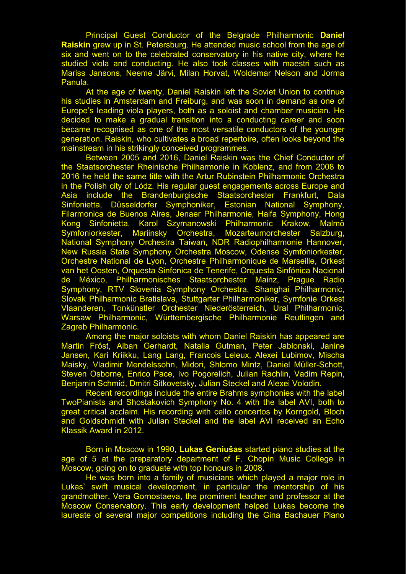Principal Guest Conductor of the Belgrade Philharmonic **Daniel Raiskin** grew up in St. Petersburg. He attended music school from the age of six and went on to the celebrated conservatory in his native city, where he studied viola and conducting. He also took classes with maestri such as Mariss Jansons, Neeme Järvi, Milan Horvat, Woldemar Nelson and Jorma Panula.

At the age of twenty, Daniel Raiskin left the Soviet Union to continue his studies in Amsterdam and Freiburg, and was soon in demand as one of Europe's leading viola players, both as a soloist and chamber musician. He decided to make a gradual transition into a conducting career and soon became recognised as one of the most versatile conductors of the younger generation. Raiskin, who cultivates a broad repertoire, often looks beyond the mainstream in his strikingly conceived programmes.

Between 2005 and 2016, Daniel Raiskin was the Chief Conductor of the Staatsorchester Rheinische Philharmonie in Koblenz, and from 2008 to 2016 he held the same title with the Artur Rubinstein Philharmonic Orchestra in the Polish city of Lódz. His regular guest engagements across Europe and Asia include the Brandenburgische Staatsorchester Frankfurt, Dala Sinfonietta, Düsseldorfer Symphoniker, Estonian National Symphony, Filarmonica de Buenos Aires, Jenaer Philharmonie, Haifa Symphony, Hong Kong Sinfonietta, Karol Szymanowski Philharmonic Krakow, Malmö Symfoniorkester, Mariinsky Orchestra, Mozarteumorchester Salzburg, National Symphony Orchestra Taiwan, NDR Radiophilharmonie Hannover, New Russia State Symphony Orchestra Moscow, Odense Symfoniorkester, Orchestre National de Lyon, Orchestre Philharmonique de Marseille, Orkest van het Oosten, Orquesta Sinfonica de Tenerife, Orquesta Sinfónica Nacional de México, Philharmonisches Staatsorchester Mainz, Prague Radio Symphony, RTV Slovenia Symphony Orchestra, Shanghai Philharmonic, Slovak Philharmonic Bratislava, Stuttgarter Philharmoniker, Symfonie Orkest Vlaanderen, Tonkünstler Orchester Niederösterreich, Ural Philharmonic, Warsaw Philharmonic, Württembergische Philharmonie Reutlingen and Zagreb Philharmonic.

Among the major soloists with whom Daniel Raiskin has appeared are Martin Fröst, Alban Gerhardt, Natalia Gutman, Peter Jablonski, Janine Jansen, Kari Kriikku, Lang Lang, Francois Leleux, Alexei Lubimov, Mischa Maisky, Vladimir Mendelssohn, Midori, Shlomo Mintz, Daniel Müller-Schott, Steven Osborne, Enrico Pace, Ivo Pogorelich, Julian Rachlin, Vadim Repin, Benjamin Schmid, Dmitri Sitkovetsky, Julian Steckel and Alexei Volodin.

Recent recordings include the entire Brahms symphonies with the label TwoPianists and Shostakovich Symphony No. 4 with the label AVI, both to great critical acclaim. His recording with cello concertos by Korngold, Bloch and Goldschmidt with Julian Steckel and the label AVI received an Echo Klassik Award in 2012.

Born in Moscow in 1990, **Lukas Geniušas** started piano studies at the age of 5 at the preparatory department of F. Chopin Music College in Moscow, going on to graduate with top honours in 2008.

He was born into a family of musicians which played a major role in Lukas' swift musical development, in particular the mentorship of his grandmother, Vera Gornostaeva, the prominent teacher and professor at the Moscow Conservatory. This early development helped Lukas become the laureate of several major competitions including the Gina Bachauer Piano